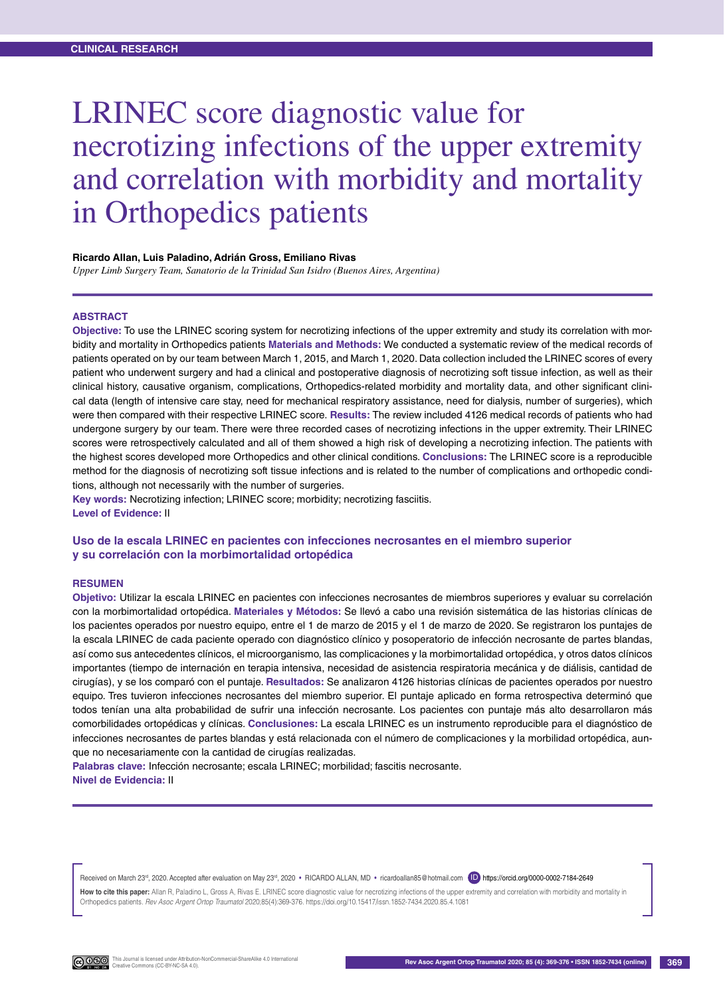# LRINEC score diagnostic value for necrotizing infections of the upper extremity and correlation with morbidity and mortality in Orthopedics patients

#### **Ricardo Allan, Luis Paladino, Adrián Gross, Emiliano Rivas**

*Upper Limb Surgery Team, Sanatorio de la Trinidad San Isidro (Buenos Aires, Argentina)*

#### **Abstract**

**Objective:** To use the LRINEC scoring system for necrotizing infections of the upper extremity and study its correlation with morbidity and mortality in Orthopedics patients **Materials and Methods:** We conducted a systematic review of the medical records of patients operated on by our team between March 1, 2015, and March 1, 2020. Data collection included the LRINEC scores of every patient who underwent surgery and had a clinical and postoperative diagnosis of necrotizing soft tissue infection, as well as their clinical history, causative organism, complications, Orthopedics-related morbidity and mortality data, and other significant clinical data (length of intensive care stay, need for mechanical respiratory assistance, need for dialysis, number of surgeries), which were then compared with their respective LRINEC score. **Results:** The review included 4126 medical records of patients who had undergone surgery by our team. There were three recorded cases of necrotizing infections in the upper extremity. Their LRINEC scores were retrospectively calculated and all of them showed a high risk of developing a necrotizing infection. The patients with the highest scores developed more Orthopedics and other clinical conditions. **Conclusions:** The LRINEC score is a reproducible method for the diagnosis of necrotizing soft tissue infections and is related to the number of complications and orthopedic conditions, although not necessarily with the number of surgeries.

**Key words:** Necrotizing infection; LRINEC score; morbidity; necrotizing fasciitis. **Level of Evidence:** II

### **Uso de la escala LRINEC en pacientes con infecciones necrosantes en el miembro superior y su correlación con la morbimortalidad ortopédica**

#### **Resumen**

**Objetivo:** Utilizar la escala LRINEC en pacientes con infecciones necrosantes de miembros superiores y evaluar su correlación con la morbimortalidad ortopédica. **Materiales y Métodos:** Se llevó a cabo una revisión sistemática de las historias clínicas de los pacientes operados por nuestro equipo, entre el 1 de marzo de 2015 y el 1 de marzo de 2020. Se registraron los puntajes de la escala LRINEC de cada paciente operado con diagnóstico clínico y posoperatorio de infección necrosante de partes blandas, así como sus antecedentes clínicos, el microorganismo, las complicaciones y la morbimortalidad ortopédica, y otros datos clínicos importantes (tiempo de internación en terapia intensiva, necesidad de asistencia respiratoria mecánica y de diálisis, cantidad de cirugías), y se los comparó con el puntaje. **Resultados:** Se analizaron 4126 historias clínicas de pacientes operados por nuestro equipo. Tres tuvieron infecciones necrosantes del miembro superior. El puntaje aplicado en forma retrospectiva determinó que todos tenían una alta probabilidad de sufrir una infección necrosante. Los pacientes con puntaje más alto desarrollaron más comorbilidades ortopédicas y clínicas. **Conclusiones:** La escala LRINEC es un instrumento reproducible para el diagnóstico de infecciones necrosantes de partes blandas y está relacionada con el número de complicaciones y la morbilidad ortopédica, aunque no necesariamente con la cantidad de cirugías realizadas.

**Palabras clave:** Infección necrosante; escala LRINEC; morbilidad; fascitis necrosante. **Nivel de Evidencia:** II

Received on March 23<sup>rd</sup>, 2020. Accepted after evaluation on May 23<sup>rd</sup>, 2020 • RICARDO ALLAN, MD • ricardoallan85@hotmail.com (ID) https://orcid.org/0000-0002-7184-2649

How to cite this paper: Allan R, Paladino L, Gross A, Rivas E. LRINEC score diagnostic value for necrotizing infections of the upper extremity and correlation with morbidity and mortality in Orthopedics patients. *Rev Asoc Argent Ortop Traumatol* 2020;85(4):369-376. https://doi.org/10.15417/issn.1852-7434.2020.85.4.1081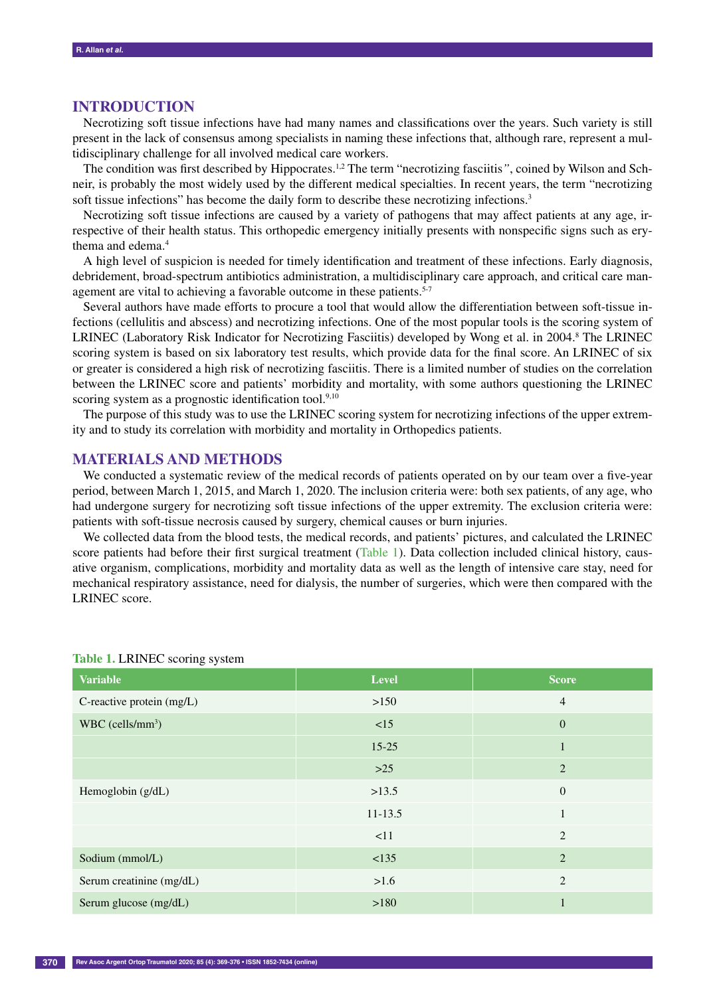## **Introduction**

Necrotizing soft tissue infections have had many names and classifications over the years. Such variety is still present in the lack of consensus among specialists in naming these infections that, although rare, represent a multidisciplinary challenge for all involved medical care workers.

The condition was first described by Hippocrates.1,2 The term "necrotizing fasciitis*"*, coined by Wilson and Schneir, is probably the most widely used by the different medical specialties. In recent years, the term "necrotizing soft tissue infections" has become the daily form to describe these necrotizing infections.<sup>3</sup>

Necrotizing soft tissue infections are caused by a variety of pathogens that may affect patients at any age, irrespective of their health status. This orthopedic emergency initially presents with nonspecific signs such as erythema and edema.4

A high level of suspicion is needed for timely identification and treatment of these infections. Early diagnosis, debridement, broad-spectrum antibiotics administration, a multidisciplinary care approach, and critical care management are vital to achieving a favorable outcome in these patients.<sup>5-7</sup>

Several authors have made efforts to procure a tool that would allow the differentiation between soft-tissue infections (cellulitis and abscess) and necrotizing infections. One of the most popular tools is the scoring system of LRINEC (Laboratory Risk Indicator for Necrotizing Fasciitis) developed by Wong et al. in 2004.<sup>8</sup> The LRINEC scoring system is based on six laboratory test results, which provide data for the final score. An LRINEC of six or greater is considered a high risk of necrotizing fasciitis. There is a limited number of studies on the correlation between the LRINEC score and patients' morbidity and mortality, with some authors questioning the LRINEC scoring system as a prognostic identification tool.<sup>9,10</sup>

The purpose of this study was to use the LRINEC scoring system for necrotizing infections of the upper extremity and to study its correlation with morbidity and mortality in Orthopedics patients.

## **Materials and Methods**

We conducted a systematic review of the medical records of patients operated on by our team over a five-year period, between March 1, 2015, and March 1, 2020. The inclusion criteria were: both sex patients, of any age, who had undergone surgery for necrotizing soft tissue infections of the upper extremity. The exclusion criteria were: patients with soft-tissue necrosis caused by surgery, chemical causes or burn injuries.

We collected data from the blood tests, the medical records, and patients' pictures, and calculated the LRINEC score patients had before their first surgical treatment (Table 1). Data collection included clinical history, causative organism, complications, morbidity and mortality data as well as the length of intensive care stay, need for mechanical respiratory assistance, need for dialysis, the number of surgeries, which were then compared with the LRINEC score.

| <b>Variable</b>                | <b>Level</b> | <b>Score</b>     |
|--------------------------------|--------------|------------------|
| C-reactive protein (mg/L)      | >150         | $\overline{4}$   |
| $WBC$ (cells/mm <sup>3</sup> ) | <15          | $\boldsymbol{0}$ |
|                                | $15 - 25$    |                  |
|                                | $>25$        | $\overline{2}$   |
| Hemoglobin (g/dL)              | >13.5        | $\mathbf{0}$     |
|                                | $11 - 13.5$  | $\mathbf{1}$     |
|                                | <11          | $\overline{c}$   |
| Sodium (mmol/L)                | < 135        | $\overline{2}$   |
| Serum creatinine (mg/dL)       | $>1.6$       | $\overline{2}$   |
| Serum glucose (mg/dL)          | >180         |                  |

#### **Table 1.** LRINEC scoring system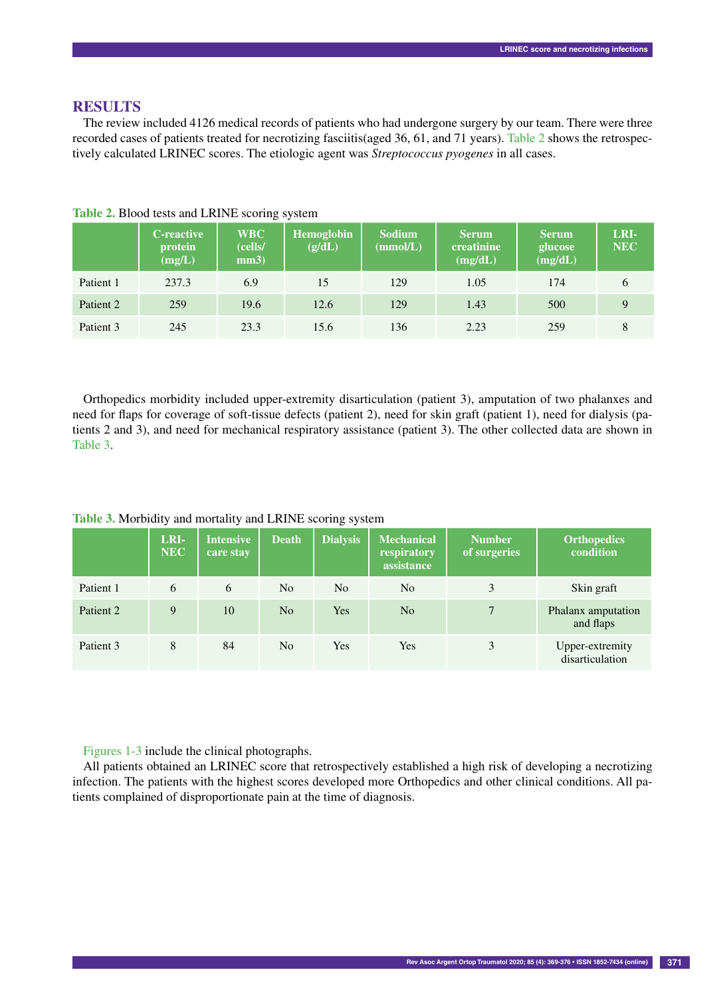## **Results**

The review included 4126 medical records of patients who had undergone surgery by our team. There were three recorded cases of patients treated for necrotizing fasciitis(aged 36, 61, and 71 years). Table 2 shows the retrospectively calculated LRINEC scores. The etiologic agent was *Streptococcus pyogenes* in all cases.

|           | <b>C</b> -reactive<br>protein<br>(mg/L) | <b>WBC</b><br>(cells/<br>mm3) | <b>Hemoglobin</b><br>(g/dL) | <b>Sodium</b><br>(mmol/L) | <b>Serum</b><br>creatinine<br>(mg/dL) | <b>Serum</b><br>glucose<br>(mg/dL) | LRI-<br><b>NEC</b> |
|-----------|-----------------------------------------|-------------------------------|-----------------------------|---------------------------|---------------------------------------|------------------------------------|--------------------|
| Patient 1 | 237.3                                   | 6.9                           | 15                          | 129                       | 1.05                                  | 174                                | 6                  |
| Patient 2 | 259                                     | 19.6                          | 12.6                        | 129                       | 1.43                                  | 500                                | Q                  |
| Patient 3 | 245                                     | 23.3                          | 15.6                        | 136                       | 2.23                                  | 259                                |                    |

**Table 2.** Blood tests and LRINE scoring system

Orthopedics morbidity included upper-extremity disarticulation (patient 3), amputation of two phalanxes and need for flaps for coverage of soft-tissue defects (patient 2), need for skin graft (patient 1), need for dialysis (patients 2 and 3), and need for mechanical respiratory assistance (patient 3). The other collected data are shown in Table 3.

|  | Table 3. Morbidity and mortality and LRINE scoring system |  |
|--|-----------------------------------------------------------|--|
|  |                                                           |  |

|           | LRI-<br><b>NEC</b> | <b>Intensive</b><br>care stay | <b>Death</b>   | <b>Dialysis</b> | <b>Mechanical</b><br>respiratory<br>assistance | <b>Number</b><br>of surgeries | <b>Orthopedics</b><br>condition    |
|-----------|--------------------|-------------------------------|----------------|-----------------|------------------------------------------------|-------------------------------|------------------------------------|
| Patient 1 | 6                  | 6                             | N <sub>0</sub> | N <sub>0</sub>  | N <sub>0</sub>                                 | 3                             | Skin graft                         |
| Patient 2 | 9                  | 10                            | N <sub>0</sub> | <b>Yes</b>      | N <sub>0</sub>                                 | 7                             | Phalanx amputation<br>and flaps    |
| Patient 3 | 8                  | 84                            | N <sub>o</sub> | Yes             | Yes                                            | 3                             | Upper-extremity<br>disarticulation |

Figures 1-3 include the clinical photographs.

All patients obtained an LRINEC score that retrospectively established a high risk of developing a necrotizing infection. The patients with the highest scores developed more Orthopedics and other clinical conditions. All patients complained of disproportionate pain at the time of diagnosis.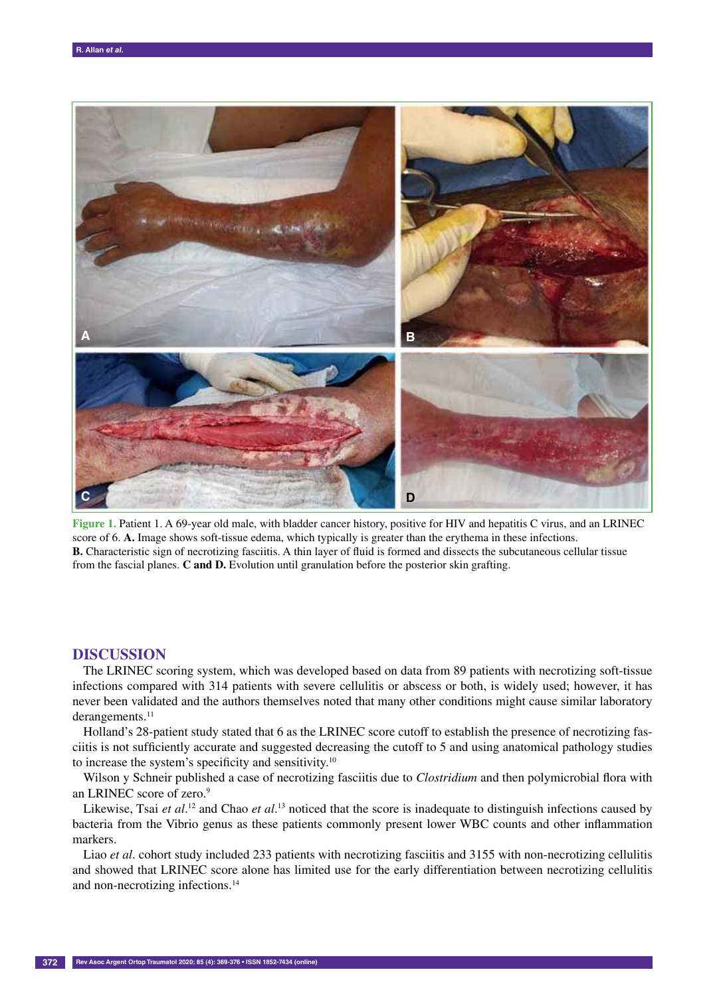

**Figure 1.** Patient 1. A 69-year old male, with bladder cancer history, positive for HIV and hepatitis C virus, and an LRINEC score of 6. **A.** Image shows soft-tissue edema, which typically is greater than the erythema in these infections. **B.** Characteristic sign of necrotizing fasciitis. A thin layer of fluid is formed and dissects the subcutaneous cellular tissue from the fascial planes. **C and D.** Evolution until granulation before the posterior skin grafting.

## **Discussion**

The LRINEC scoring system, which was developed based on data from 89 patients with necrotizing soft-tissue infections compared with 314 patients with severe cellulitis or abscess or both, is widely used; however, it has never been validated and the authors themselves noted that many other conditions might cause similar laboratory derangements.<sup>11</sup>

Holland's 28-patient study stated that 6 as the LRINEC score cutoff to establish the presence of necrotizing fasciitis is not sufficiently accurate and suggested decreasing the cutoff to 5 and using anatomical pathology studies to increase the system's specificity and sensitivity.10

Wilson y Schneir published a case of necrotizing fasciitis due to *Clostridium* and then polymicrobial flora with an LRINEC score of zero.<sup>9</sup>

Likewise, Tsai *et al.*<sup>12</sup> and Chao *et al.*<sup>13</sup> noticed that the score is inadequate to distinguish infections caused by bacteria from the Vibrio genus as these patients commonly present lower WBC counts and other inflammation markers.

Liao *et al*. cohort study included 233 patients with necrotizing fasciitis and 3155 with non-necrotizing cellulitis and showed that LRINEC score alone has limited use for the early differentiation between necrotizing cellulitis and non-necrotizing infections.14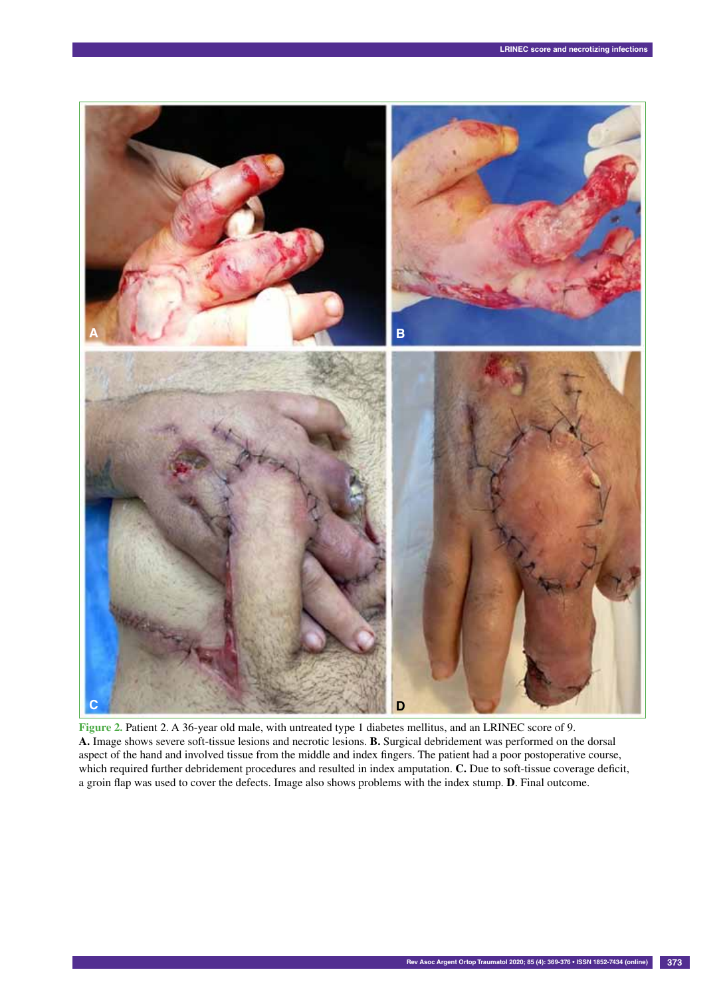

**Figure 2.** Patient 2. A 36-year old male, with untreated type 1 diabetes mellitus, and an LRINEC score of 9. **A.** Image shows severe soft-tissue lesions and necrotic lesions. **B.** Surgical debridement was performed on the dorsal aspect of the hand and involved tissue from the middle and index fingers. The patient had a poor postoperative course, which required further debridement procedures and resulted in index amputation. **C.** Due to soft-tissue coverage deficit, a groin flap was used to cover the defects. Image also shows problems with the index stump. **D**. Final outcome.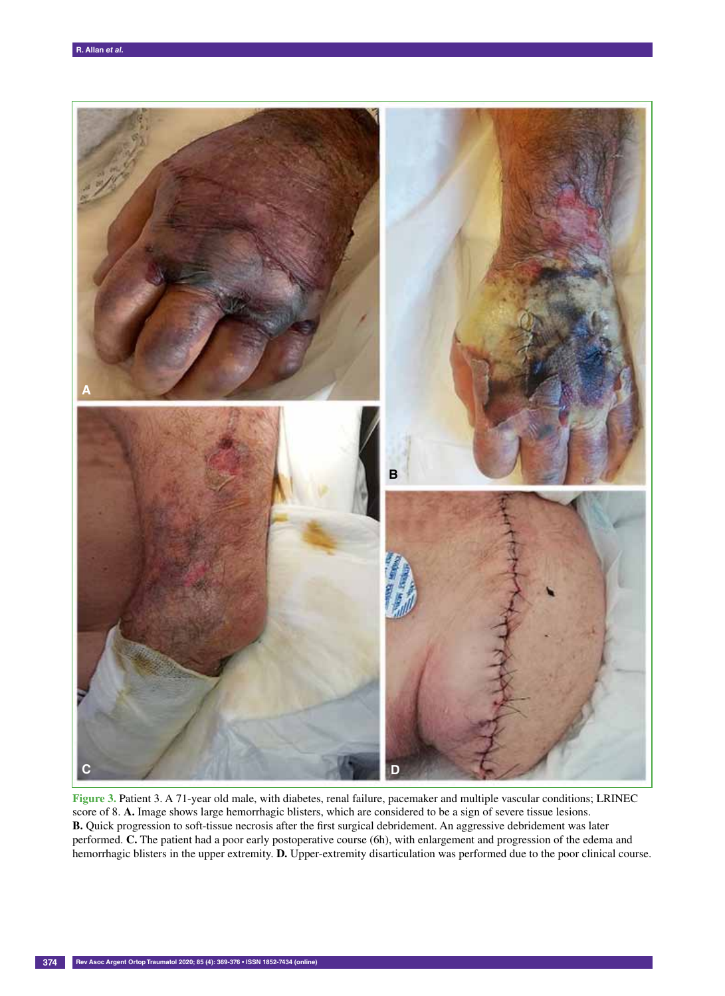

**Figure 3.** Patient 3. A 71-year old male, with diabetes, renal failure, pacemaker and multiple vascular conditions; LRINEC score of 8. **A.** Image shows large hemorrhagic blisters, which are considered to be a sign of severe tissue lesions. **B.** Quick progression to soft-tissue necrosis after the first surgical debridement. An aggressive debridement was later performed. **C.** The patient had a poor early postoperative course (6h), with enlargement and progression of the edema and hemorrhagic blisters in the upper extremity. **D.** Upper-extremity disarticulation was performed due to the poor clinical course.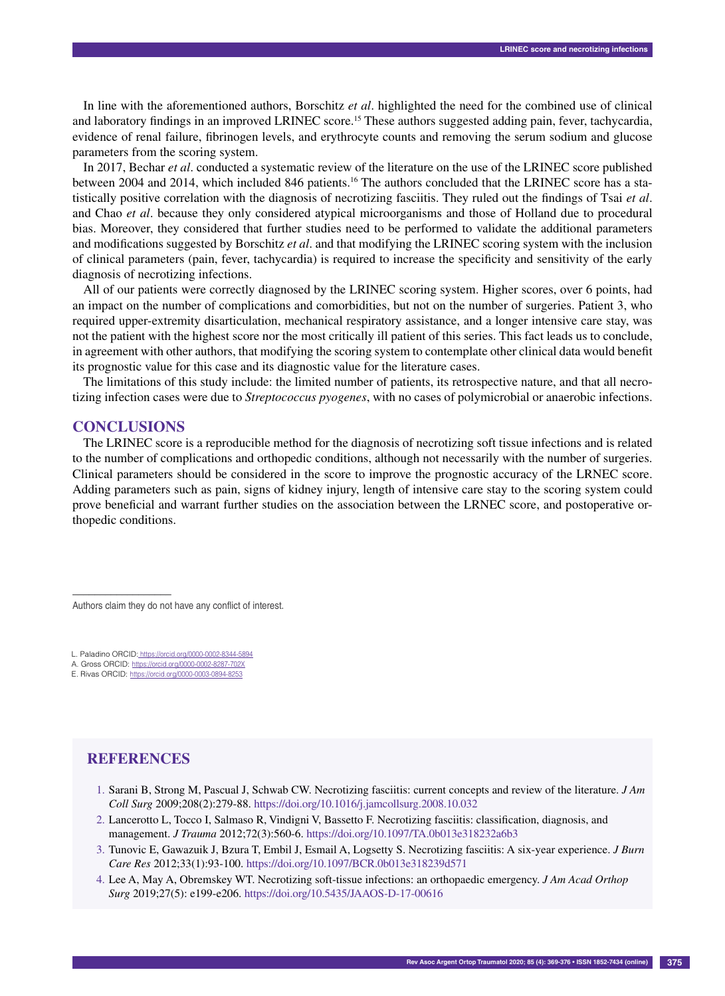In line with the aforementioned authors, Borschitz *et al*. highlighted the need for the combined use of clinical and laboratory findings in an improved LRINEC score.<sup>15</sup> These authors suggested adding pain, fever, tachycardia, evidence of renal failure, fibrinogen levels, and erythrocyte counts and removing the serum sodium and glucose parameters from the scoring system.

In 2017, Bechar *et al*. conducted a systematic review of the literature on the use of the LRINEC score published between 2004 and 2014, which included 846 patients.<sup>16</sup> The authors concluded that the LRINEC score has a statistically positive correlation with the diagnosis of necrotizing fasciitis. They ruled out the findings of Tsai *et al*. and Chao *et al*. because they only considered atypical microorganisms and those of Holland due to procedural bias. Moreover, they considered that further studies need to be performed to validate the additional parameters and modifications suggested by Borschitz *et al*. and that modifying the LRINEC scoring system with the inclusion of clinical parameters (pain, fever, tachycardia) is required to increase the specificity and sensitivity of the early diagnosis of necrotizing infections.

All of our patients were correctly diagnosed by the LRINEC scoring system. Higher scores, over 6 points, had an impact on the number of complications and comorbidities, but not on the number of surgeries. Patient 3, who required upper-extremity disarticulation, mechanical respiratory assistance, and a longer intensive care stay, was not the patient with the highest score nor the most critically ill patient of this series. This fact leads us to conclude, in agreement with other authors, that modifying the scoring system to contemplate other clinical data would benefit its prognostic value for this case and its diagnostic value for the literature cases.

The limitations of this study include: the limited number of patients, its retrospective nature, and that all necrotizing infection cases were due to *Streptococcus pyogenes*, with no cases of polymicrobial or anaerobic infections.

#### **Conclusions**

––––––––––––––––––

The LRINEC score is a reproducible method for the diagnosis of necrotizing soft tissue infections and is related to the number of complications and orthopedic conditions, although not necessarily with the number of surgeries. Clinical parameters should be considered in the score to improve the prognostic accuracy of the LRNEC score. Adding parameters such as pain, signs of kidney injury, length of intensive care stay to the scoring system could prove beneficial and warrant further studies on the association between the LRNEC score, and postoperative orthopedic conditions.

Authors claim they do not have any conflict of interest.

L. Paladino ORCID: https://orcid.org/0000-0002-8344-5894

A. Gross ORCID: https://orcid.org/0000-0002-8287-702X E. Rivas ORCID: https://orcid.org/0000-0003-0894-8253

## **References**

- 1. Sarani B, Strong M, Pascual J, Schwab CW. Necrotizing fasciitis: current concepts and review of the literature. *J Am Coll Surg* 2009;208(2):279-88. https://doi.org/10.1016/j.jamcollsurg.2008.10.032
- 2. Lancerotto L, Tocco I, Salmaso R, Vindigni V, Bassetto F. Necrotizing fasciitis: classification, diagnosis, and management. *J Trauma* 2012;72(3):560-6. https://doi.org/10.1097/TA.0b013e318232a6b3
- 3. Tunovic E, Gawazuik J, Bzura T, Embil J, Esmail A, Logsetty S. Necrotizing fasciitis: A six-year experience. *J Burn Care Res* 2012;33(1):93-100. https://doi.org/10.1097/BCR.0b013e318239d571
- 4. Lee A, May A, Obremskey WT. Necrotizing soft-tissue infections: an orthopaedic emergency. *J Am Acad Orthop Surg* 2019;27(5): e199-e206. https://doi.org/10.5435/JAAOS-D-17-00616